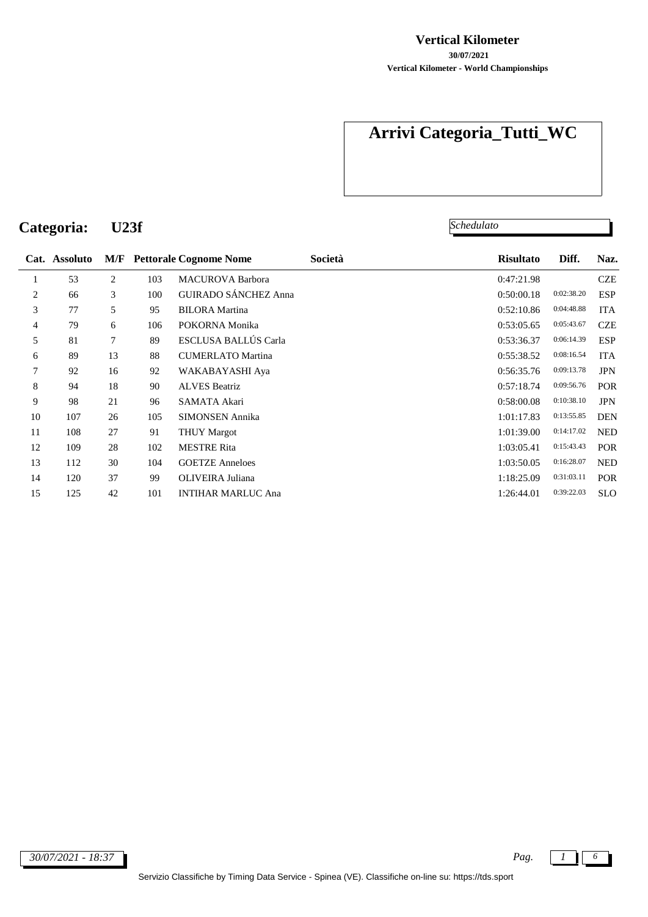#### **Vertical Kilometer**

**Vertical Kilometer - World Championships 30/07/2021**

# **Arrivi Categoria\_Tutti\_WC**

**Categoria: U23f**

*Schedulato*

|                  | Cat. Assoluto | M/F |     | <b>Pettorale Cognome Nome</b> | Società | <b>Risultato</b> | Diff.      | Naz.       |
|------------------|---------------|-----|-----|-------------------------------|---------|------------------|------------|------------|
| 1                | 53            | 2   | 103 | <b>MACUROVA Barbora</b>       |         | 0:47:21.98       |            | <b>CZE</b> |
| 2                | 66            | 3   | 100 | <b>GUIRADO SÁNCHEZ Anna</b>   |         | 0:50:00.18       | 0:02:38.20 | <b>ESP</b> |
| 3                | 77            | 5   | 95  | <b>BILORA</b> Martina         |         | 0:52:10.86       | 0:04:48.88 | <b>ITA</b> |
| 4                | 79            | 6   | 106 | POKORNA Monika                |         | 0:53:05.65       | 0:05:43.67 | <b>CZE</b> |
| 5                | 81            | 7   | 89  | ESCLUSA BALLÚS Carla          |         | 0:53:36.37       | 0:06:14.39 | <b>ESP</b> |
| 6                | 89            | 13  | 88  | <b>CUMERLATO Martina</b>      |         | 0:55:38.52       | 0:08:16.54 | <b>ITA</b> |
| $\boldsymbol{7}$ | 92            | 16  | 92  | WAKABAYASHI Aya               |         | 0:56:35.76       | 0:09:13.78 | <b>JPN</b> |
| 8                | 94            | 18  | 90  | <b>ALVES Beatriz</b>          |         | 0:57:18.74       | 0:09:56.76 | POR        |
| 9                | 98            | 21  | 96  | SAMATA Akari                  |         | 0:58:00.08       | 0:10:38.10 | <b>JPN</b> |
| 10               | 107           | 26  | 105 | <b>SIMONSEN Annika</b>        |         | 1:01:17.83       | 0:13:55.85 | <b>DEN</b> |
| 11               | 108           | 27  | 91  | <b>THUY Margot</b>            |         | 1:01:39.00       | 0:14:17.02 | <b>NED</b> |
| 12               | 109           | 28  | 102 | <b>MESTRE Rita</b>            |         | 1:03:05.41       | 0:15:43.43 | POR        |
| 13               | 112           | 30  | 104 | <b>GOETZE Anneloes</b>        |         | 1:03:50.05       | 0:16:28.07 | <b>NED</b> |
| 14               | 120           | 37  | 99  | OLIVEIRA Juliana              |         | 1:18:25.09       | 0:31:03.11 | POR        |
| 15               | 125           | 42  | 101 | <b>INTIHAR MARLUC Ana</b>     |         | 1:26:44.01       | 0:39:22.03 | <b>SLO</b> |
|                  |               |     |     |                               |         |                  |            |            |

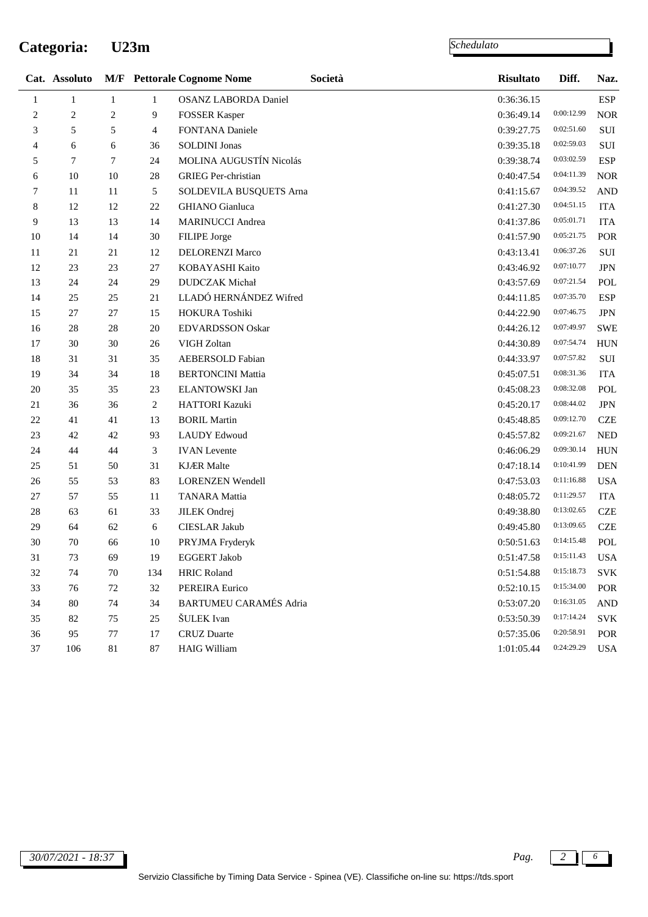### **Categoria: U23m**

|              | Cat. Assoluto |                |              | <b>M/F</b> Pettorale Cognome Nome | Società | <b>Risultato</b>              | Diff.      | Naz.              |
|--------------|---------------|----------------|--------------|-----------------------------------|---------|-------------------------------|------------|-------------------|
| $\mathbf{1}$ | $\mathbf{1}$  | $\mathbf{1}$   | $\mathbf{1}$ | <b>OSANZ LABORDA Daniel</b>       |         | 0:36:36.15                    |            | <b>ESP</b>        |
| 2            | 2             | 2              | 9            | <b>FOSSER Kasper</b>              |         | 0:36:49.14                    | 0:00:12.99 | <b>NOR</b>        |
| 3            | 5             | 5              | 4            | FONTANA Daniele                   |         | 0:39:27.75                    | 0:02:51.60 | $\rm SUI$         |
| 4            | 6             | 6              | 36           | <b>SOLDINI Jonas</b>              |         | 0:39:35.18                    | 0:02:59.03 | SUI               |
| 5            | 7             | $\overline{7}$ | 24           | MOLINA AUGUSTÍN Nicolás           |         | 0:39:38.74                    | 0:03:02.59 | <b>ESP</b>        |
| 6            | 10            | 10             | 28           | <b>GRIEG</b> Per-christian        |         | 0:40:47.54                    | 0:04:11.39 | <b>NOR</b>        |
| 7            | 11            | 11             | 5            | SOLDEVILA BUSQUETS Arna           |         | 0:41:15.67                    | 0:04:39.52 | <b>AND</b>        |
| $\,8\,$      | 12            | 12             | 22           | <b>GHIANO</b> Gianluca            |         | 0:41:27.30                    | 0:04:51.15 | <b>ITA</b>        |
| 9            | 13            | 13             | 14           | <b>MARINUCCI</b> Andrea           |         | 0:41:37.86                    | 0:05:01.71 | <b>ITA</b>        |
| 10           | 14            | 14             | $30\,$       | FILIPE Jorge                      |         | 0:41:57.90                    | 0:05:21.75 | POR               |
| 11           | 21            | 21             | 12           | DELORENZI Marco                   |         | 0:43:13.41                    | 0:06:37.26 | SUI               |
| 12           | 23            | 23             | 27           | KOBAYASHI Kaito                   |         | 0:43:46.92                    | 0:07:10.77 | $_{\mathrm{JPN}}$ |
| 13           | 24            | 24             | 29           | <b>DUDCZAK</b> Michał             |         | 0:43:57.69                    | 0:07:21.54 | POL               |
| 14           | 25            | 25             | 21           | LLADÓ HERNÁNDEZ Wifred            |         | 0:44:11.85                    | 0:07:35.70 | <b>ESP</b>        |
| 15           | 27            | 27             | 15           | HOKURA Toshiki                    |         | 0:44:22.90                    | 0:07:46.75 | $_{\mathrm{JPN}}$ |
| 16           | 28            | 28             | $20\,$       | <b>EDVARDSSON Oskar</b>           |         | 0:44:26.12                    | 0:07:49.97 | <b>SWE</b>        |
| $17\,$       | 30            | 30             | 26           | VIGH Zoltan                       |         | 0:44:30.89                    | 0:07:54.74 | <b>HUN</b>        |
| 18           | 31            | 31             | 35           | <b>AEBERSOLD Fabian</b>           |         | 0:44:33.97                    | 0:07:57.82 | $\rm SUI$         |
| 19           | 34            | 34             | 18           | <b>BERTONCINI Mattia</b>          |         | 0:45:07.51                    | 0:08:31.36 | <b>ITA</b>        |
| 20           | 35            | 35             | 23           | ELANTOWSKI Jan                    |         | 0:45:08.23                    | 0:08:32.08 | POL               |
| 21           | 36            | 36             | 2            | HATTORI Kazuki                    |         | 0:45:20.17                    | 0:08:44.02 | $_{\mathrm{JPN}}$ |
| 22           | 41            | 41             | 13           | <b>BORIL Martin</b>               |         | 0:45:48.85                    | 0:09:12.70 | <b>CZE</b>        |
| 23           | 42            | 42             | 93           | <b>LAUDY Edwoud</b>               |         | 0:45:57.82                    | 0:09:21.67 | <b>NED</b>        |
| 24           | 44            | 44             | 3            | <b>IVAN</b> Levente               |         | 0:46:06.29                    | 0:09:30.14 | <b>HUN</b>        |
| 25           | 51            | 50             | 31           | <b>KJÆR</b> Malte                 |         | 0:47:18.14                    | 0:10:41.99 | <b>DEN</b>        |
| 26           | 55            | 53             | 83           | <b>LORENZEN Wendell</b>           |         | 0:47:53.03                    | 0:11:16.88 | <b>USA</b>        |
| 27           | 57            | 55             | 11           | <b>TANARA</b> Mattia              |         | 0:48:05.72                    | 0:11:29.57 | <b>ITA</b>        |
| 28           | 63            | 61             | 33           | <b>JILEK</b> Ondrej               |         | 0:49:38.80                    | 0:13:02.65 | <b>CZE</b>        |
| 29           | 64            | 62             | 6            | CIESLAR Jakub                     |         | 0:49:45.80                    | 0:13:09.65 | <b>CZE</b>        |
| 30           | 70            | 66             | 10           | PRYJMA Fryderyk                   |         | 0:50:51.63                    | 0:14:15.48 | POL               |
| 31           | 73            | 69             | 19           | <b>EGGERT Jakob</b>               |         | $0:51:47.58$ $0:15:11.43$ USA |            |                   |
| 32           | 74            | 70             | 134          | <b>HRIC Roland</b>                |         | 0:51:54.88                    | 0:15:18.73 | <b>SVK</b>        |
| 33           | 76            | 72             | 32           | PEREIRA Eurico                    |         | 0:52:10.15                    | 0:15:34.00 | POR               |
| 34           | 80            | 74             | 34           | <b>BARTUMEU CARAMÉS Adria</b>     |         | 0:53:07.20                    | 0:16:31.05 | <b>AND</b>        |
| 35           | 82            | 75             | 25           | ŠULEK Ivan                        |         | 0:53:50.39                    | 0:17:14.24 | <b>SVK</b>        |
| 36           | 95            | 77             | 17           | <b>CRUZ</b> Duarte                |         | 0:57:35.06                    | 0:20:58.91 | POR               |
| 37           | 106           | $81\,$         | 87           | <b>HAIG William</b>               |         | 1:01:05.44                    | 0:24:29.29 | <b>USA</b>        |
|              |               |                |              |                                   |         |                               |            |                   |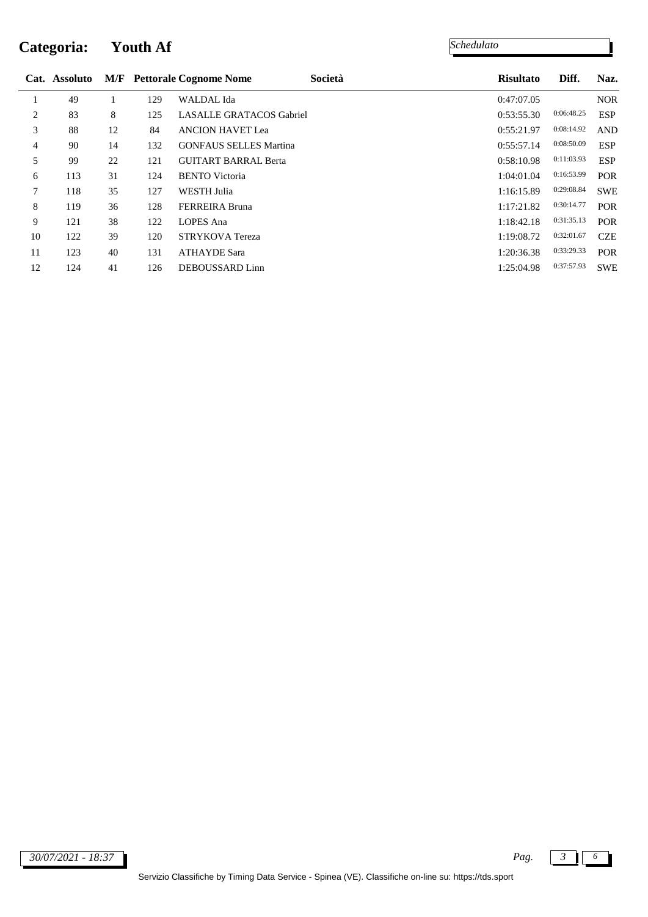# **Categoria: Youth Af**

|    | Cat. Assoluto |    |     | <b>M/F</b> Pettorale Cognome Nome | Società | <b>Risultato</b> | Diff.      | Naz.       |
|----|---------------|----|-----|-----------------------------------|---------|------------------|------------|------------|
|    | 49            |    | 129 | <b>WALDAL</b> Ida                 |         | 0:47:07.05       |            | <b>NOR</b> |
| 2  | 83            | 8  | 125 | <b>LASALLE GRATACOS Gabriel</b>   |         | 0:53:55.30       | 0:06:48.25 | <b>ESP</b> |
| 3  | 88            | 12 | 84  | <b>ANCION HAVET Lea</b>           |         | 0:55:21.97       | 0:08:14.92 | <b>AND</b> |
| 4  | 90            | 14 | 132 | <b>GONFAUS SELLES Martina</b>     |         | 0:55:57.14       | 0:08:50.09 | <b>ESP</b> |
| 5  | 99            | 22 | 121 | <b>GUITART BARRAL Berta</b>       |         | 0:58:10.98       | 0:11:03.93 | <b>ESP</b> |
| 6  | 113           | 31 | 124 | <b>BENTO</b> Victoria             |         | 1:04:01.04       | 0:16:53.99 | <b>POR</b> |
| 7  | 118           | 35 | 127 | <b>WESTH Julia</b>                |         | 1:16:15.89       | 0:29:08.84 | <b>SWE</b> |
| 8  | 119           | 36 | 128 | <b>FERREIRA Bruna</b>             |         | 1:17:21.82       | 0:30:14.77 | <b>POR</b> |
| 9  | 121           | 38 | 122 | <b>LOPES</b> Ana                  |         | 1:18:42.18       | 0:31:35.13 | <b>POR</b> |
| 10 | 122           | 39 | 120 | <b>STRYKOVA</b> Tereza            |         | 1:19:08.72       | 0:32:01.67 | <b>CZE</b> |
| 11 | 123           | 40 | 131 | <b>ATHAYDE Sara</b>               |         | 1:20:36.38       | 0:33:29.33 | <b>POR</b> |
| 12 | 124           | 41 | 126 | DEBOUSSARD Linn                   |         | 1:25:04.98       | 0:37:57.93 | <b>SWE</b> |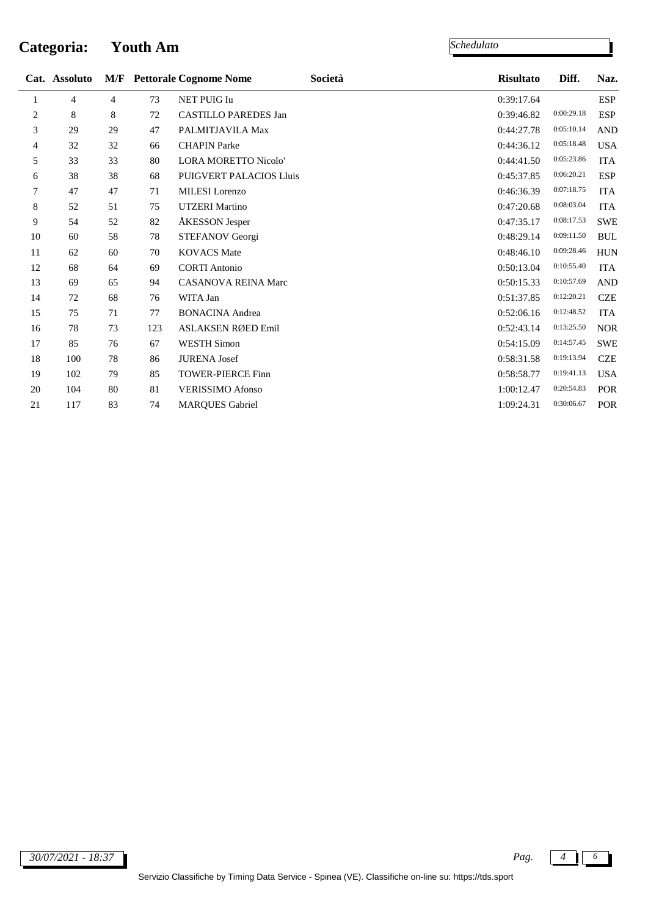## **Categoria: Youth Am**

l,

|                | Cat. Assoluto |    |     | <b>M/F</b> Pettorale Cognome Nome | Società | <b>Risultato</b> | Diff.      | Naz.                 |
|----------------|---------------|----|-----|-----------------------------------|---------|------------------|------------|----------------------|
| 1              | 4             | 4  | 73  | <b>NET PUIG Iu</b>                |         | 0:39:17.64       |            | <b>ESP</b>           |
| $\overline{c}$ | 8             | 8  | 72  | <b>CASTILLO PAREDES Jan</b>       |         | 0:39:46.82       | 0:00:29.18 | <b>ESP</b>           |
| 3              | 29            | 29 | 47  | PALMITJAVILA Max                  |         | 0:44:27.78       | 0:05:10.14 | $\operatorname{AND}$ |
| 4              | 32            | 32 | 66  | <b>CHAPIN Parke</b>               |         | 0:44:36.12       | 0:05:18.48 | <b>USA</b>           |
| 5              | 33            | 33 | 80  | <b>LORA MORETTO Nicolo'</b>       |         | 0:44:41.50       | 0:05:23.86 | <b>ITA</b>           |
| 6              | 38            | 38 | 68  | <b>PUIGVERT PALACIOS Lluis</b>    |         | 0:45:37.85       | 0:06:20.21 | <b>ESP</b>           |
| 7              | 47            | 47 | 71  | <b>MILESI</b> Lorenzo             |         | 0:46:36.39       | 0:07:18.75 | <b>ITA</b>           |
| 8              | 52            | 51 | 75  | <b>UTZERI</b> Martino             |         | 0:47:20.68       | 0:08:03.04 | <b>ITA</b>           |
| 9              | 54            | 52 | 82  | ÅKESSON Jesper                    |         | 0:47:35.17       | 0:08:17.53 | <b>SWE</b>           |
| 10             | 60            | 58 | 78  | STEFANOV Georgi                   |         | 0:48:29.14       | 0:09:11.50 | <b>BUL</b>           |
| 11             | 62            | 60 | 70  | <b>KOVACS</b> Mate                |         | 0:48:46.10       | 0:09:28.46 | <b>HUN</b>           |
| 12             | 68            | 64 | 69  | <b>CORTI</b> Antonio              |         | 0:50:13.04       | 0:10:55.40 | <b>ITA</b>           |
| 13             | 69            | 65 | 94  | <b>CASANOVA REINA Marc</b>        |         | 0:50:15.33       | 0:10:57.69 | <b>AND</b>           |
| 14             | 72            | 68 | 76  | WITA Jan                          |         | 0:51:37.85       | 0:12:20.21 | <b>CZE</b>           |
| 15             | 75            | 71 | 77  | <b>BONACINA Andrea</b>            |         | 0:52:06.16       | 0:12:48.52 | <b>ITA</b>           |
| 16             | 78            | 73 | 123 | ASLAKSEN RØED Emil                |         | 0:52:43.14       | 0:13:25.50 | <b>NOR</b>           |
| 17             | 85            | 76 | 67  | <b>WESTH Simon</b>                |         | 0:54:15.09       | 0:14:57.45 | <b>SWE</b>           |
| 18             | 100           | 78 | 86  | <b>JURENA</b> Josef               |         | 0:58:31.58       | 0:19:13.94 | <b>CZE</b>           |
| 19             | 102           | 79 | 85  | <b>TOWER-PIERCE Finn</b>          |         | 0:58:58.77       | 0:19:41.13 | <b>USA</b>           |
| 20             | 104           | 80 | 81  | <b>VERISSIMO Afonso</b>           |         | 1:00:12.47       | 0:20:54.83 | POR                  |
| 21             | 117           | 83 | 74  | <b>MARQUES Gabriel</b>            |         | 1:09:24.31       | 0:30:06.67 | POR                  |
|                |               |    |     |                                   |         |                  |            |                      |

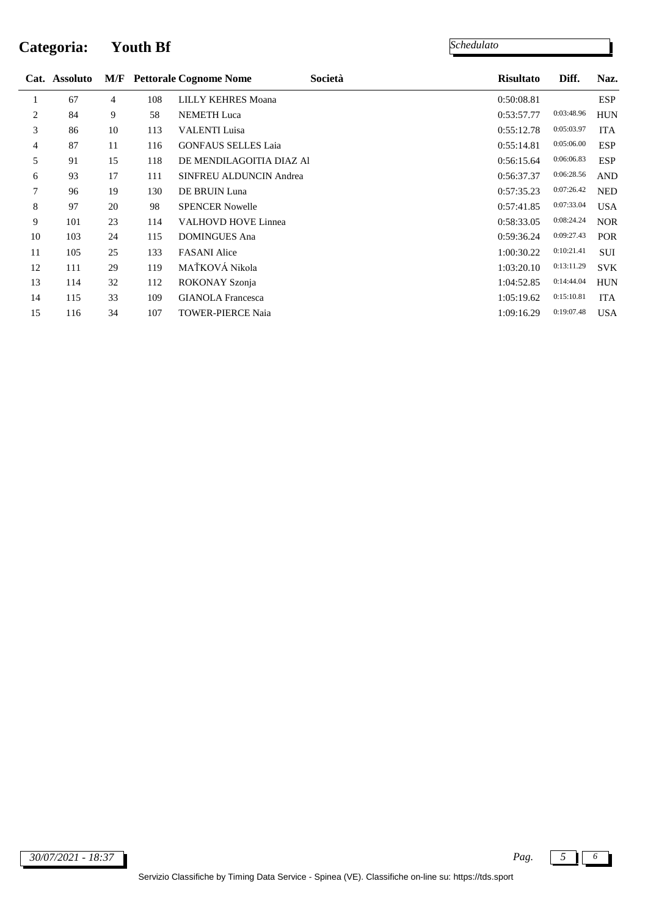### **Categoria: Youth Bf**

|                | Cat. Assoluto |                |     | <b>M/F</b> Pettorale Cognome Nome | Società | <b>Risultato</b> | Diff.      | Naz.       |
|----------------|---------------|----------------|-----|-----------------------------------|---------|------------------|------------|------------|
| 1              | 67            | $\overline{4}$ | 108 | <b>LILLY KEHRES Moana</b>         |         | 0:50:08.81       |            | ESP        |
| 2              | 84            | 9              | 58  | <b>NEMETH</b> Luca                |         | 0:53:57.77       | 0:03:48.96 | <b>HUN</b> |
| 3              | 86            | 10             | 113 | <b>VALENTI Luisa</b>              |         | 0:55:12.78       | 0:05:03.97 | <b>ITA</b> |
| $\overline{4}$ | 87            | 11             | 116 | <b>GONFAUS SELLES Laia</b>        |         | 0:55:14.81       | 0:05:06.00 | <b>ESP</b> |
| 5              | 91            | 15             | 118 | DE MENDILAGOITIA DIAZ Al          |         | 0:56:15.64       | 0:06:06.83 | <b>ESP</b> |
| 6              | 93            | 17             | 111 | <b>SINFREU ALDUNCIN Andrea</b>    |         | 0:56:37.37       | 0:06:28.56 | <b>AND</b> |
| 7              | 96            | 19             | 130 | DE BRUIN Luna                     |         | 0:57:35.23       | 0:07:26.42 | <b>NED</b> |
| 8              | 97            | 20             | 98  | <b>SPENCER Nowelle</b>            |         | 0:57:41.85       | 0:07:33.04 | <b>USA</b> |
| 9              | 101           | 23             | 114 | <b>VALHOVD HOVE Linnea</b>        |         | 0:58:33.05       | 0:08:24.24 | <b>NOR</b> |
| 10             | 103           | 24             | 115 | <b>DOMINGUES Ana</b>              |         | 0:59:36.24       | 0:09:27.43 | <b>POR</b> |
| 11             | 105           | 25             | 133 | <b>FASANI</b> Alice               |         | 1:00:30.22       | 0:10:21.41 | SUI        |
| 12             | 111           | 29             | 119 | MAŤKOVÁ Nikola                    |         | 1:03:20.10       | 0:13:11.29 | <b>SVK</b> |
| 13             | 114           | 32             | 112 | ROKONAY Szonja                    |         | 1:04:52.85       | 0:14:44.04 | <b>HUN</b> |
| 14             | 115           | 33             | 109 | <b>GIANOLA</b> Francesca          |         | 1:05:19.62       | 0:15:10.81 | <b>ITA</b> |
| 15             | 116           | 34             | 107 | <b>TOWER-PIERCE Naia</b>          |         | 1:09:16.29       | 0:19:07.48 | <b>USA</b> |
|                |               |                |     |                                   |         |                  |            |            |